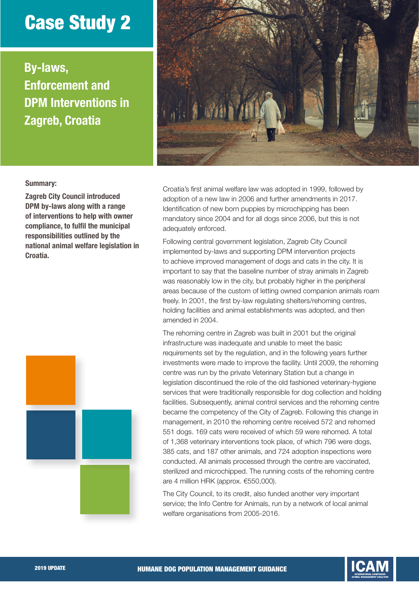## Case Study 2

By-laws, Enforcement and DPM Interventions in Zagreb, Croatia



## Summary:

Zagreb City Council introduced DPM by-laws along with a range of interventions to help with owner compliance, to fulfil the municipal responsibilities outlined by the national animal welfare legislation in Croatia.



Croatia's first animal welfare law was adopted in 1999, followed by adoption of a new law in 2006 and further amendments in 2017. Identification of new born puppies by microchipping has been mandatory since 2004 and for all dogs since 2006, but this is not adequately enforced.

Following central government legislation, Zagreb City Council implemented by-laws and supporting DPM intervention projects to achieve improved management of dogs and cats in the city. It is important to say that the baseline number of stray animals in Zagreb was reasonably low in the city, but probably higher in the peripheral areas because of the custom of letting owned companion animals roam freely. In 2001, the first by-law regulating shelters/rehoming centres, holding facilities and animal establishments was adopted, and then amended in 2004.

The rehoming centre in Zagreb was built in 2001 but the original infrastructure was inadequate and unable to meet the basic requirements set by the regulation, and in the following years further investments were made to improve the facility. Until 2009, the rehoming centre was run by the private Veterinary Station but a change in legislation discontinued the role of the old fashioned veterinary-hygiene services that were traditionally responsible for dog collection and holding facilities. Subsequently, animal control services and the rehoming centre became the competency of the City of Zagreb. Following this change in management, in 2010 the rehoming centre received 572 and rehomed 551 dogs. 169 cats were received of which 59 were rehomed. A total of 1,368 veterinary interventions took place, of which 796 were dogs, 385 cats, and 187 other animals, and 724 adoption inspections were conducted. All animals processed through the centre are vaccinated, sterilized and microchipped. The running costs of the rehoming centre are 4 million HRK (approx. €550,000).

The City Council, to its credit, also funded another very important service; the Info Centre for Animals, run by a network of local animal welfare organisations from 2005-2016.